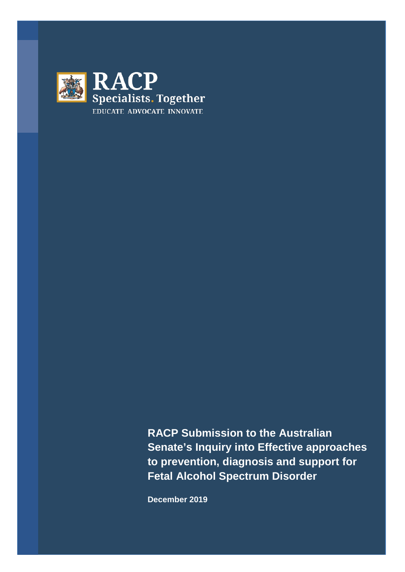

**RACP Submission to the Australian Senate's Inquiry into Effective approaches to prevention, diagnosis and support for Fetal Alcohol Spectrum Disorder**

**December 2019**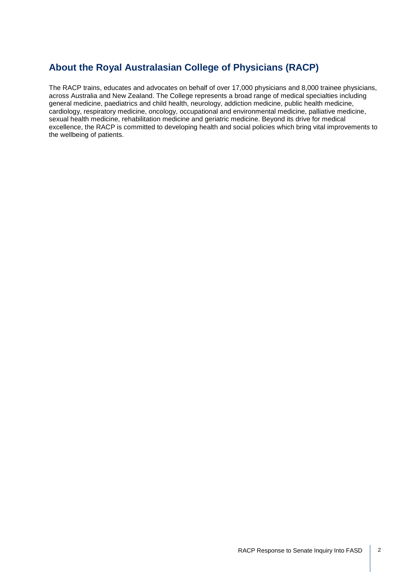# **About the Royal Australasian College of Physicians (RACP)**

The RACP trains, educates and advocates on behalf of over 17,000 physicians and 8,000 trainee physicians, across Australia and New Zealand. The College represents a broad range of medical specialties including general medicine, paediatrics and child health, neurology, addiction medicine, public health medicine, cardiology, respiratory medicine, oncology, occupational and environmental medicine, palliative medicine, sexual health medicine, rehabilitation medicine and geriatric medicine. Beyond its drive for medical excellence, the RACP is committed to developing health and social policies which bring vital improvements to the wellbeing of patients.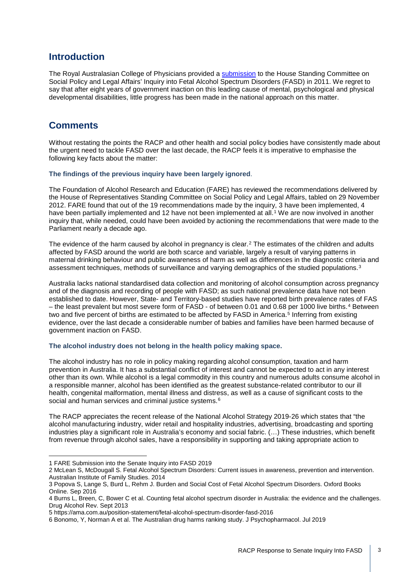# **Introduction**

The Royal Australasian College of Physicians provided a [submission](https://www.racp.edu.au/docs/default-source/advocacy-library/submission-to-house-standing-committee-on-social-policy-and-legal-affairs-fasd.pdf) to the House Standing Committee on Social Policy and Legal Affairs' Inquiry into Fetal Alcohol Spectrum Disorders (FASD) in 2011. We regret to say that after eight years of government inaction on this leading cause of mental, psychological and physical developmental disabilities, little progress has been made in the national approach on this matter.

# **Comments**

Without restating the points the RACP and other health and social policy bodies have consistently made about the urgent need to tackle FASD over the last decade, the RACP feels it is imperative to emphasise the following key facts about the matter:

# **The findings of the previous inquiry have been largely ignored**.

The Foundation of Alcohol Research and Education (FARE) has reviewed the recommendations delivered by the House of Representatives Standing Committee on Social Policy and Legal Affairs, tabled on 29 November 2012. FARE found that out of the 19 recommendations made by the inquiry, 3 have been implemented, 4 have been partially implemented and [1](#page-2-0)2 have not been implemented at all.<sup>1</sup> We are now involved in another inquiry that, while needed, could have been avoided by actioning the recommendations that were made to the Parliament nearly a decade ago.

The evidence of the harm caused by alcohol in pregnancy is clear.<sup>[2](#page-2-1)</sup> The estimates of the children and adults affected by FASD around the world are both scarce and variable, largely a result of varying patterns in maternal drinking behaviour and public awareness of harm as well as differences in the diagnostic criteria and assessment techniques, methods of surveillance and varying demographics of the studied populations.<sup>3</sup>

Australia lacks national standardised data collection and monitoring of alcohol consumption across pregnancy and of the diagnosis and recording of people with FASD; as such national prevalence data have not been established to date. However, State- and Territory-based studies have reported birth prevalence rates of FAS – the least prevalent but most severe form of FASD - of between 0.01 and 0.68 per 1000 live births.[4](#page-2-3) Between two and five percent of births are estimated to be affected by FASD in America.<sup>[5](#page-2-4)</sup> Inferring from existing evidence, over the last decade a considerable number of babies and families have been harmed because of government inaction on FASD.

# **The alcohol industry does not belong in the health policy making space.**

The alcohol industry has no role in policy making regarding alcohol consumption, taxation and harm prevention in Australia. It has a substantial conflict of interest and cannot be expected to act in any interest other than its own. While alcohol is a legal commodity in this country and numerous adults consume alcohol in a responsible manner, alcohol has been identified as the greatest substance-related contributor to our ill health, congenital malformation, mental illness and distress, as well as a cause of significant costs to the social and human services and criminal justice systems.<sup>[6](#page-2-5)</sup>

The RACP appreciates the recent release of the National Alcohol Strategy 2019-26 which states that "the alcohol manufacturing industry, wider retail and hospitality industries, advertising, broadcasting and sporting industries play a significant role in Australia's economy and social fabric. (…) These industries, which benefit from revenue through alcohol sales, have a responsibility in supporting and taking appropriate action to

<span id="page-2-0"></span><sup>1</sup> FARE Submission into the Senate Inquiry into FASD 2019

<span id="page-2-1"></span><sup>2</sup> McLean S, McDougall S. Fetal Alcohol Spectrum Disorders: Current issues in awareness, prevention and intervention. Australian Institute of Family Studies. 2014

<span id="page-2-2"></span><sup>3</sup> Popova S, Lange S, Burd L, Rehm J. Burden and Social Cost of Fetal Alcohol Spectrum Disorders. Oxford Books Online. Sep 2016

<span id="page-2-3"></span><sup>4</sup> Burns L, Breen, C, Bower C et al. Counting fetal alcohol spectrum disorder in Australia: the evidence and the challenges. Drug Alcohol Rev. Sept 2013

<span id="page-2-4"></span><sup>5</sup> <https://ama.com.au/position-statement/fetal-alcohol-spectrum-disorder-fasd-2016>

<span id="page-2-5"></span><sup>6</sup> Bonomo, Y, Norman A et al. The Australian drug harms ranking study. [J Psychopharmacol.](https://www.ncbi.nlm.nih.gov/pubmed/31081439) Jul 2019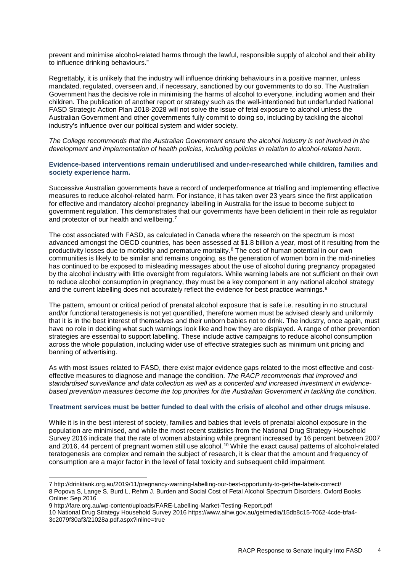prevent and minimise alcohol-related harms through the lawful, responsible supply of alcohol and their ability to influence drinking behaviours."

Regrettably, it is unlikely that the industry will influence drinking behaviours in a positive manner, unless mandated, regulated, overseen and, if necessary, sanctioned by our governments to do so. The Australian Government has the decisive role in minimising the harms of alcohol to everyone, including women and their children. The publication of another report or strategy such as the well-intentioned but underfunded National FASD Strategic Action Plan 2018-2028 will not solve the issue of fetal exposure to alcohol unless the Australian Government and other governments fully commit to doing so, including by tackling the alcohol industry's influence over our political system and wider society.

*The College recommends that the Australian Government ensure the alcohol industry is not involved in the development and implementation of health policies, including policies in relation to alcohol-related harm.*

### **Evidence-based interventions remain underutilised and under-researched while children, families and society experience harm.**

Successive Australian governments have a record of underperformance at trialling and implementing effective measures to reduce alcohol-related harm. For instance, it has taken over 23 years since the first application for effective and mandatory alcohol pregnancy labelling in Australia for the issue to become subject to government regulation. This demonstrates that our governments have been deficient in their role as regulator and protector of our health and wellbeing.[7](#page-3-0)

The cost associated with FASD, as calculated in Canada where the research on the spectrum is most advanced amongst the OECD countries, has been assessed at \$1.8 billion a year, most of it resulting from the productivity losses due to morbidity and premature mortality.[8](#page-3-1) The cost of human potential in our own communities is likely to be similar and remains ongoing, as the generation of women born in the mid-nineties has continued to be exposed to misleading messages about the use of alcohol during pregnancy propagated by the alcohol industry with little oversight from regulators. While warning labels are not sufficient on their own to reduce alcohol consumption in pregnancy, they must be a key component in any national alcohol strategy and the current labelling does not accurately reflect the evidence for best practice warnings.<sup>[9](#page-3-2)</sup>

The pattern, amount or critical period of prenatal alcohol exposure that is safe i.e. resulting in no structural and/or functional teratogenesis is not yet quantified, therefore women must be advised clearly and uniformly that it is in the best interest of themselves and their unborn babies not to drink. The industry, once again, must have no role in deciding what such warnings look like and how they are displayed. A range of other prevention strategies are essential to support labelling. These include active campaigns to reduce alcohol consumption across the whole population, including wider use of effective strategies such as minimum unit pricing and banning of advertising.

As with most issues related to FASD, there exist major evidence gaps related to the most effective and costeffective measures to diagnose and manage the condition. *The RACP recommends that improved and standardised surveillance and data collection as well as a concerted and increased investment in evidencebased prevention measures become the top priorities for the Australian Government in tackling the condition.* 

# **Treatment services must be better funded to deal with the crisis of alcohol and other drugs misuse.**

While it is in the best interest of society, families and babies that levels of prenatal alcohol exposure in the population are minimised, and while the most recent statistics from the National Drug Strategy Household Survey 2016 indicate that the rate of women abstaining while pregnant increased by 16 percent between 2007 and 2016, 44 percent of pregnant women still use alcohol.<sup>[10](#page-3-3)</sup> While the exact causal patterns of alcohol-related teratogenesis are complex and remain the subject of research, it is clear that the amount and frequency of consumption are a major factor in the level of fetal toxicity and subsequent child impairment.

<span id="page-3-1"></span><span id="page-3-0"></span><sup>7</sup> <http://drinktank.org.au/2019/11/pregnancy-warning-labelling-our-best-opportunity-to-get-the-labels-correct/> 8 Popova S, Lange S, Burd L, Rehm J. Burden and Social Cost of Fetal Alcohol Spectrum Disorders. Oxford Books Online: Sep 2016

<span id="page-3-2"></span><sup>9</sup> http://fare.org.au/wp-content/uploads/FARE-Labelling-Market-Testing-Report.pdf

<span id="page-3-3"></span><sup>10</sup> National Drug Strategy Household Survey 201[6 https://www.aihw.gov.au/getmedia/15db8c15-7062-4cde-bfa4-](https://www.aihw.gov.au/getmedia/15db8c15-7062-4cde-bfa4-3c2079f30af3/21028a.pdf.aspx?inline=true) [3c2079f30af3/21028a.pdf.aspx?inline=true](https://www.aihw.gov.au/getmedia/15db8c15-7062-4cde-bfa4-3c2079f30af3/21028a.pdf.aspx?inline=true)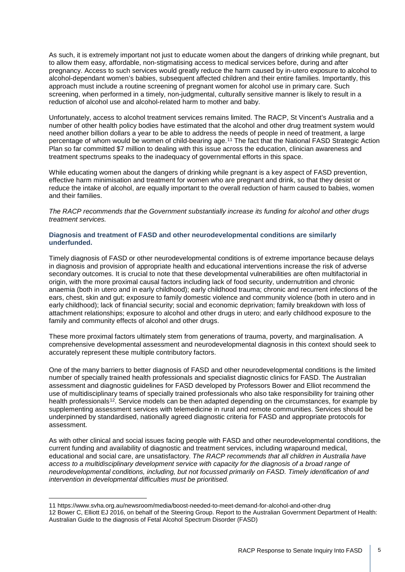As such, it is extremely important not just to educate women about the dangers of drinking while pregnant, but to allow them easy, affordable, non-stigmatising access to medical services before, during and after pregnancy. Access to such services would greatly reduce the harm caused by in-utero exposure to alcohol to alcohol-dependant women's babies, subsequent affected children and their entire families. Importantly, this approach must include a routine screening of pregnant women for alcohol use in primary care. Such screening, when performed in a timely, non-judgmental, culturally sensitive manner is likely to result in a reduction of alcohol use and alcohol-related harm to mother and baby.

Unfortunately, access to alcohol treatment services remains limited. The RACP, St Vincent's Australia and a number of other health policy bodies have estimated that the alcohol and other drug treatment system would need another billion dollars a year to be able to address the needs of people in need of treatment, a large percentage of whom would be women of child-bearing age.<sup>[11](#page-4-0)</sup> The fact that the National FASD Strategic Action Plan so far committed \$7 million to dealing with this issue across the education, clinician awareness and treatment spectrums speaks to the inadequacy of governmental efforts in this space.

While educating women about the dangers of drinking while pregnant is a key aspect of FASD prevention, effective harm minimisation and treatment for women who are pregnant and drink, so that they desist or reduce the intake of alcohol, are equally important to the overall reduction of harm caused to babies, women and their families.

*The RACP recommends that the Government substantially increase its funding for alcohol and other drugs treatment services.*

### **Diagnosis and treatment of FASD and other neurodevelopmental conditions are similarly underfunded.**

Timely diagnosis of FASD or other neurodevelopmental conditions is of extreme importance because delays in diagnosis and provision of appropriate health and educational interventions increase the risk of adverse secondary outcomes. It is crucial to note that these developmental vulnerabilities are often multifactorial in origin, with the more proximal causal factors including lack of food security, undernutrition and chronic anaemia (both in utero and in early childhood); early childhood trauma; chronic and recurrent infections of the ears, chest, skin and gut; exposure to family domestic violence and community violence (both in utero and in early childhood); lack of financial security; social and economic deprivation; family breakdown with loss of attachment relationships; exposure to alcohol and other drugs in utero; and early childhood exposure to the family and community effects of alcohol and other drugs.

These more proximal factors ultimately stem from generations of trauma, poverty, and marginalisation. A comprehensive developmental assessment and neurodevelopmental diagnosis in this context should seek to accurately represent these multiple contributory factors.

One of the many barriers to better diagnosis of FASD and other neurodevelopmental conditions is the limited number of specially trained health professionals and specialist diagnostic clinics for FASD. The Australian assessment and diagnostic [guidelines](https://www.fasdhub.org.au/siteassets/pdfs/australian-guide-to-diagnosis-of-fasd_all-appendices.pdf) for FASD developed by Professors Bower and Elliot recommend the use of multidisciplinary teams of specially trained professionals who also take responsibility for training other health professionals<sup>12</sup>. Service models can be then adapted depending on the circumstances, for example by supplementing assessment services with telemedicine in rural and remote communities. Services should be underpinned by standardised, nationally agreed diagnostic criteria for FASD and appropriate protocols for assessment.

As with other clinical and social issues facing people with FASD and other neurodevelopmental conditions, the current funding and availability of diagnostic and treatment services, including wraparound medical, educational and social care, are unsatisfactory. *The RACP recommends that all children in Australia have access to a multidisciplinary development service with capacity for the diagnosis of a broad range of neurodevelopmental conditions, including, but not focussed primarily on FASD. Timely identification of and intervention in developmental difficulties must be prioritised.* 

<sup>11</sup> <https://www.svha.org.au/newsroom/media/boost-needed-to-meet-demand-for-alcohol-and-other-drug>

<span id="page-4-1"></span><span id="page-4-0"></span><sup>12</sup> Bower C, Elliott EJ 2016, on behalf of the Steering Group. Report to the Australian Government Department of Health: Australian Guide to the diagnosis of Fetal Alcohol Spectrum Disorder (FASD)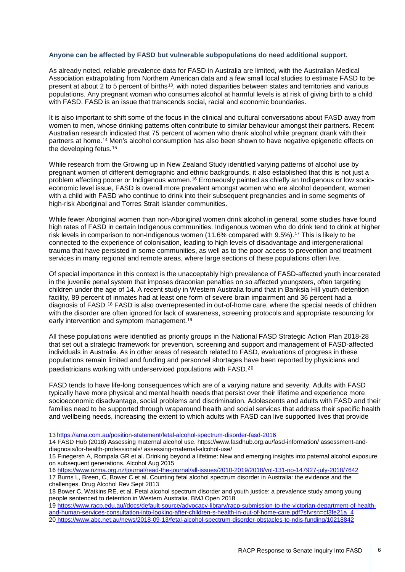#### **Anyone can be affected by FASD but vulnerable subpopulations do need additional support.**

As already noted, reliable prevalence data for FASD in Australia are limited, with the Australian Medical Association extrapolating from Northern American data and a few small local studies to estimate FASD to be present at about 2 to 5 percent of births<sup>[13](#page-5-0)</sup>, with noted disparities between states and territories and various populations. Any pregnant woman who consumes alcohol at harmful levels is at risk of giving birth to a child with FASD. FASD is an issue that transcends social, racial and economic boundaries.

It is also important to shift some of the focus in the clinical and cultural conversations about FASD away from women to men, whose drinking patterns often contribute to similar behaviour amongst their partners. Recent Australian research indicated that 75 percent of women who drank alcohol while pregnant drank with their partners at home.[14](#page-5-1) Men's alcohol consumption has also been shown to have negative epigenetic effects on the developing fetus.<sup>[15](#page-5-2)</sup>

While research from the Growing up in New Zealand Study identified varying patterns of alcohol use by pregnant women of different demographic and ethnic backgrounds, it also established that this is not just a problem affecting poorer or Indigenous women.<sup>[16](#page-5-3)</sup> Erroneously painted as chiefly an Indigenous or low socioeconomic level issue, FASD is overall more prevalent amongst women who are alcohol dependent, women with a child with FASD who continue to drink into their subsequent pregnancies and in some segments of high-risk Aboriginal and Torres Strait Islander communities.

While fewer Aboriginal women than non-Aboriginal women drink alcohol in general, some studies have found high rates of FASD in certain Indigenous communities. Indigenous women who do drink tend to drink at higher risk levels in comparison to non-Indigenous women (11.6% compared with 9.5%).[17](#page-5-4) This is likely to be connected to the experience of colonisation, leading to high levels of disadvantage and intergenerational trauma that have persisted in some communities, as well as to the poor access to prevention and treatment services in many regional and remote areas, where large sections of these populations often live.

Of special importance in this context is the unacceptably high prevalence of FASD-affected youth incarcerated in the juvenile penal system that imposes draconian penalties on so affected youngsters, often targeting children under the age of 14. A recent study in Western Australia found that in Banksia Hill youth detention facility, 89 percent of inmates had at least one form of severe brain impairment and 36 percent had a diagnosis of FASD.[18](#page-5-5) FASD is also overrepresented in out-of-home care, where the special needs of children with the disorder are often ignored for lack of awareness, screening protocols and appropriate resourcing for early intervention and symptom management.<sup>[19](#page-5-6)</sup>

All these populations were identified as priority groups in the National FASD Strategic Action Plan 2018-28 that set out a strategic framework for prevention, screening and support and management of FASD-affected individuals in Australia. As in other areas of research related to FASD, evaluations of progress in these populations remain limited and funding and personnel shortages [hav](#page-5-7)e been reported by physicians and paediatricians working with underserviced populations with FASD.20

FASD tends to have life-long consequences which are of a varying nature and severity. Adults with FASD typically have more physical and mental health needs that persist over their lifetime and experience more socioeconomic disadvantage, social problems and discrimination. Adolescents and adults with FASD and their families need to be supported through wraparound health and social services that address their specific health and wellbeing needs, increasing the extent to which adults with FASD can live supported lives that provide

<sup>13</sup> <https://ama.com.au/position-statement/fetal-alcohol-spectrum-disorder-fasd-2016>

<span id="page-5-1"></span><span id="page-5-0"></span><sup>14</sup> FASD Hub (2018) Assessing maternal alcohol use. https://www.fasdhub.org.au/fasd-information/ assessment-anddiagnosis/for-health-professionals/ assessing-maternal-alcohol-use/

<span id="page-5-2"></span><sup>15</sup> [Finegersh A,](https://www.ncbi.nlm.nih.gov/pubmed/?term=Finegersh%20A%5BAuthor%5D&cauthor=true&cauthor_uid=25887183) [Rompala GR](https://www.ncbi.nlm.nih.gov/pubmed/?term=Rompala%20GR%5BAuthor%5D&cauthor=true&cauthor_uid=25887183) et al. Drinking beyond a lifetime: New and emerging insights into paternal alcohol exposure on subsequent generations. Alcohol Aug 2015

<span id="page-5-4"></span><span id="page-5-3"></span><sup>16</sup> <https://www.nzma.org.nz/journal/read-the-journal/all-issues/2010-2019/2018/vol-131-no-147927-july-2018/7642> 17 Burns L, Breen, C, Bower C et al. Counting fetal alcohol spectrum disorder in Australia: the evidence and the challenges. Drug Alcohol Rev Sept 2013

<span id="page-5-5"></span><sup>18</sup> Bower C, Watkins RE, et al. Fetal alcohol spectrum disorder and youth justice: a prevalence study among young people sentenced to detention in Western Australia. BMJ Open 2018

<span id="page-5-7"></span><span id="page-5-6"></span><sup>19</sup> [https://www.racp.edu.au//docs/default-source/advocacy-library/racp-submission-to-the-victorian-department-of-health](https://www.racp.edu.au/docs/default-source/advocacy-library/racp-submission-to-the-victorian-department-of-health-and-human-services-consultation-into-looking-after-children-s-health-in-out-of-home-care.pdf?sfvrsn=cf3fe21a_4)[and-human-services-consultation-into-looking-after-children-s-health-in-out-of-home-care.pdf?sfvrsn=cf3fe21a\\_4](https://www.racp.edu.au/docs/default-source/advocacy-library/racp-submission-to-the-victorian-department-of-health-and-human-services-consultation-into-looking-after-children-s-health-in-out-of-home-care.pdf?sfvrsn=cf3fe21a_4) 20 <https://www.abc.net.au/news/2018-09-13/fetal-alcohol-spectrum-disorder-obstacles-to-ndis-funding/10218842>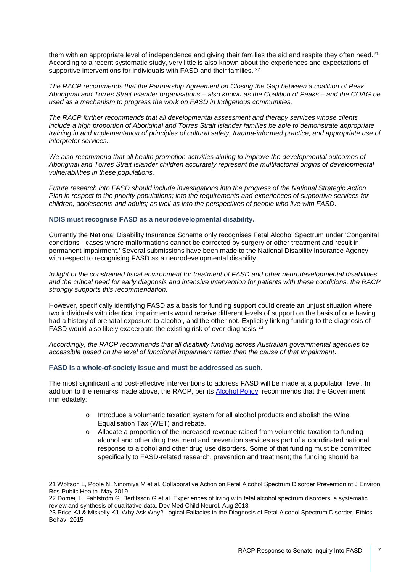them with an appropriate level of independence and giving their families the aid and respite they often need.<sup>[21](#page-6-0)</sup> According to a recent systematic study, very little is also known about the experiences and expectations of supportive interventions for individuals with FASD and their families. <sup>[22](#page-6-1)</sup>

*The RACP recommends that the Partnership Agreement on Closing the Gap between a coalition of Peak Aboriginal and Torres Strait Islander organisations – also known as the Coalition of Peaks – and the COAG be used as a mechanism to progress the work on FASD in Indigenous communities.* 

*The RACP further recommends that all developmental assessment and therapy services whose clients include a high proportion of Aboriginal and Torres Strait Islander families be able to demonstrate appropriate training in and implementation of principles of cultural safety, trauma-informed practice, and appropriate use of interpreter services.* 

*We also recommend that all health promotion activities aiming to improve the developmental outcomes of Aboriginal and Torres Strait Islander children accurately represent the multifactorial origins of developmental vulnerabilities in these populations.* 

*Future research into FASD should include investigations into the progress of the National Strategic Action Plan in respect to the priority populations; into the requirements and experiences of supportive services for children, adolescents and adults; as well as into the perspectives of people who live with FASD*.

#### **NDIS must recognise FASD as a neurodevelopmental disability.**

Currently the National Disability Insurance Scheme only recognises Fetal Alcohol Spectrum under 'Congenital conditions - cases where malformations cannot be corrected by surgery or other treatment and result in permanent impairment.' Several submissions have been made to the National Disability Insurance Agency with respect to recognising FASD as a neurodevelopmental disability.

*In light of the constrained fiscal environment for treatment of FASD and other neurodevelopmental disabilities and the critical need for early diagnosis and intensive intervention for patients with these conditions, the RACP strongly supports this recommendation.* 

However, specifically identifying FASD as a basis for funding support could create an unjust situation where two individuals with identical impairments would receive different levels of support on the basis of one having had a history of prenatal exposure to alcohol, and the other not. Explicitly linking funding to the diagnosis of FASD would also likely exacerbate the existing risk of over-diagnosis.<sup>[23](#page-6-2)</sup>

*Accordingly, the RACP recommends that all disability funding across Australian governmental agencies be accessible based on the level of functional impairment rather than the cause of that impairment***.** 

#### **FASD is a whole-of-society issue and must be addressed as such.**

The most significant and cost-effective interventions to address FASD will be made at a population level. In addition to the remarks made above, the RACP, per its [Alcohol Policy,](https://www.racp.edu.au/docs/default-source/advocacy-library/pa-racp-ranzcp-alcohol-policy.pdf) recommends that the Government immediately:

- o Introduce a volumetric taxation system for all alcohol products and abolish the Wine Equalisation Tax (WET) and rebate.
- o Allocate a proportion of the increased revenue raised from volumetric taxation to funding alcohol and other drug treatment and prevention services as part of a coordinated national response to alcohol and other drug use disorders. Some of that funding must be committed specifically to FASD-related research, prevention and treatment; the funding should be

<span id="page-6-0"></span><sup>21</sup> [Wolfson](https://www.ncbi.nlm.nih.gov/pubmed/?term=Wolfson%20L%5BAuthor%5D&cauthor=true&cauthor_uid=31067652) L[, Poole](https://www.ncbi.nlm.nih.gov/pubmed/?term=Poole%20N%5BAuthor%5D&cauthor=true&cauthor_uid=31067652) N[, Ninomiya](https://www.ncbi.nlm.nih.gov/pubmed/?term=Morton%20Ninomiya%20M%5BAuthor%5D&cauthor=true&cauthor_uid=31067652) M et al. Collaborative Action on Fetal Alcohol Spectrum Disorder Preventio[nInt J Environ](https://www.ncbi.nlm.nih.gov/pmc/articles/PMC6539919/)  [Res Public Health.](https://www.ncbi.nlm.nih.gov/pmc/articles/PMC6539919/) May 2019

<span id="page-6-1"></span><sup>22</sup> [Domeij H,](https://www.ncbi.nlm.nih.gov/pubmed/?term=Domeij%20H%5BAuthor%5D&cauthor=true&cauthor_uid=29479676) [Fahlström G,](https://www.ncbi.nlm.nih.gov/pubmed/?term=Fahlstr%C3%B6m%20G%5BAuthor%5D&cauthor=true&cauthor_uid=29479676) [Bertilsson G](https://www.ncbi.nlm.nih.gov/pubmed/?term=Bertilsson%20G%5BAuthor%5D&cauthor=true&cauthor_uid=29479676) et al. Experiences of living with fetal alcohol spectrum disorders: a systematic review and synthesis of qualitative data. Dev Med Child Neurol. Aug 2018

<span id="page-6-2"></span><sup>23</sup> Price KJ & Miskelly KJ. Why Ask Why? Logical Fallacies in the Diagnosis of Fetal Alcohol Spectrum Disorder. Ethics Behav. 2015